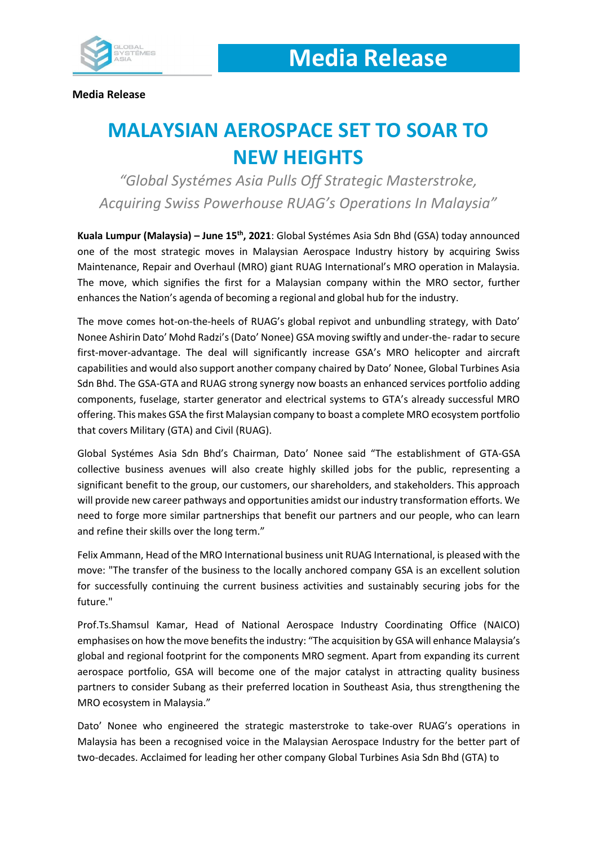

**Media Release**

# **MALAYSIAN AEROSPACE SET TO SOAR TO NEW HEIGHTS**

*"Global Systémes Asia Pulls Off Strategic Masterstroke, Acquiring Swiss Powerhouse RUAG's Operations In Malaysia"*

**Kuala Lumpur (Malaysia) – June 15th, 2021**: Global Systémes Asia Sdn Bhd (GSA) today announced one of the most strategic moves in Malaysian Aerospace Industry history by acquiring Swiss Maintenance, Repair and Overhaul (MRO) giant RUAG International's MRO operation in Malaysia. The move, which signifies the first for a Malaysian company within the MRO sector, further enhances the Nation's agenda of becoming a regional and global hub for the industry.

The move comes hot-on-the-heels of RUAG's global repivot and unbundling strategy, with Dato' Nonee Ashirin Dato' Mohd Radzi's(Dato' Nonee) GSA moving swiftly and under-the- radar to secure first-mover-advantage. The deal will significantly increase GSA's MRO helicopter and aircraft capabilities and would also support another company chaired by Dato' Nonee, Global Turbines Asia Sdn Bhd. The GSA-GTA and RUAG strong synergy now boasts an enhanced services portfolio adding components, fuselage, starter generator and electrical systems to GTA's already successful MRO offering. This makes GSA the first Malaysian company to boast a complete MRO ecosystem portfolio that covers Military (GTA) and Civil (RUAG).

Global Systémes Asia Sdn Bhd's Chairman, Dato' Nonee said "The establishment of GTA-GSA collective business avenues will also create highly skilled jobs for the public, representing a significant benefit to the group, our customers, our shareholders, and stakeholders. This approach will provide new career pathways and opportunities amidst our industry transformation efforts. We need to forge more similar partnerships that benefit our partners and our people, who can learn and refine their skills over the long term."

Felix Ammann, Head of the MRO International business unit RUAG International, is pleased with the move: "The transfer of the business to the locally anchored company GSA is an excellent solution for successfully continuing the current business activities and sustainably securing jobs for the future."

Prof.Ts.Shamsul Kamar, Head of National Aerospace Industry Coordinating Office (NAICO) emphasises on how the move benefits the industry: "The acquisition by GSA will enhance Malaysia's global and regional footprint for the components MRO segment. Apart from expanding its current aerospace portfolio, GSA will become one of the major catalyst in attracting quality business partners to consider Subang as their preferred location in Southeast Asia, thus strengthening the MRO ecosystem in Malaysia."

Dato' Nonee who engineered the strategic masterstroke to take-over RUAG's operations in Malaysia has been a recognised voice in the Malaysian Aerospace Industry for the better part of two-decades. Acclaimed for leading her other company Global Turbines Asia Sdn Bhd (GTA) to